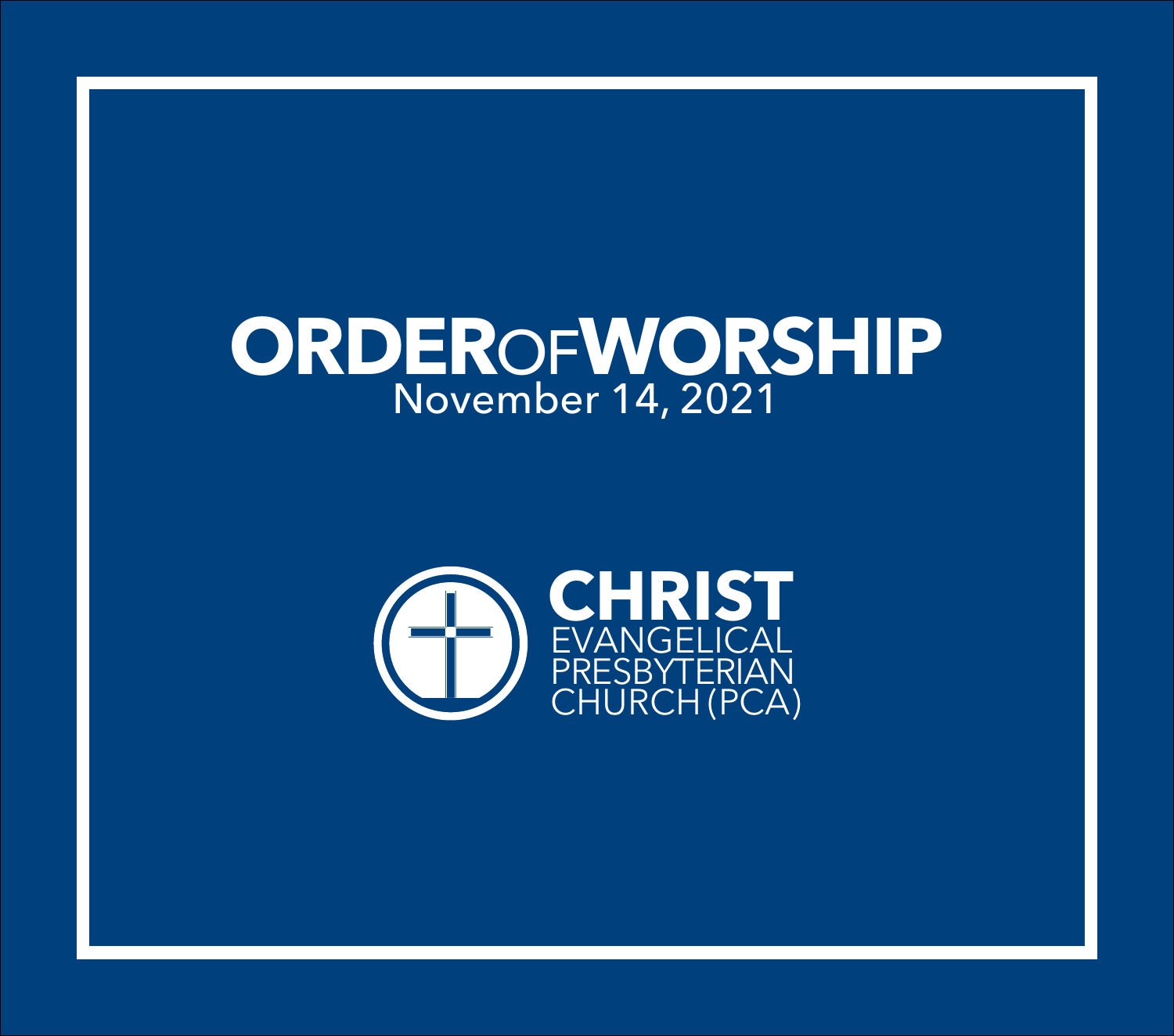# **ORDER**OF**WORSHIP** November 14, 2021

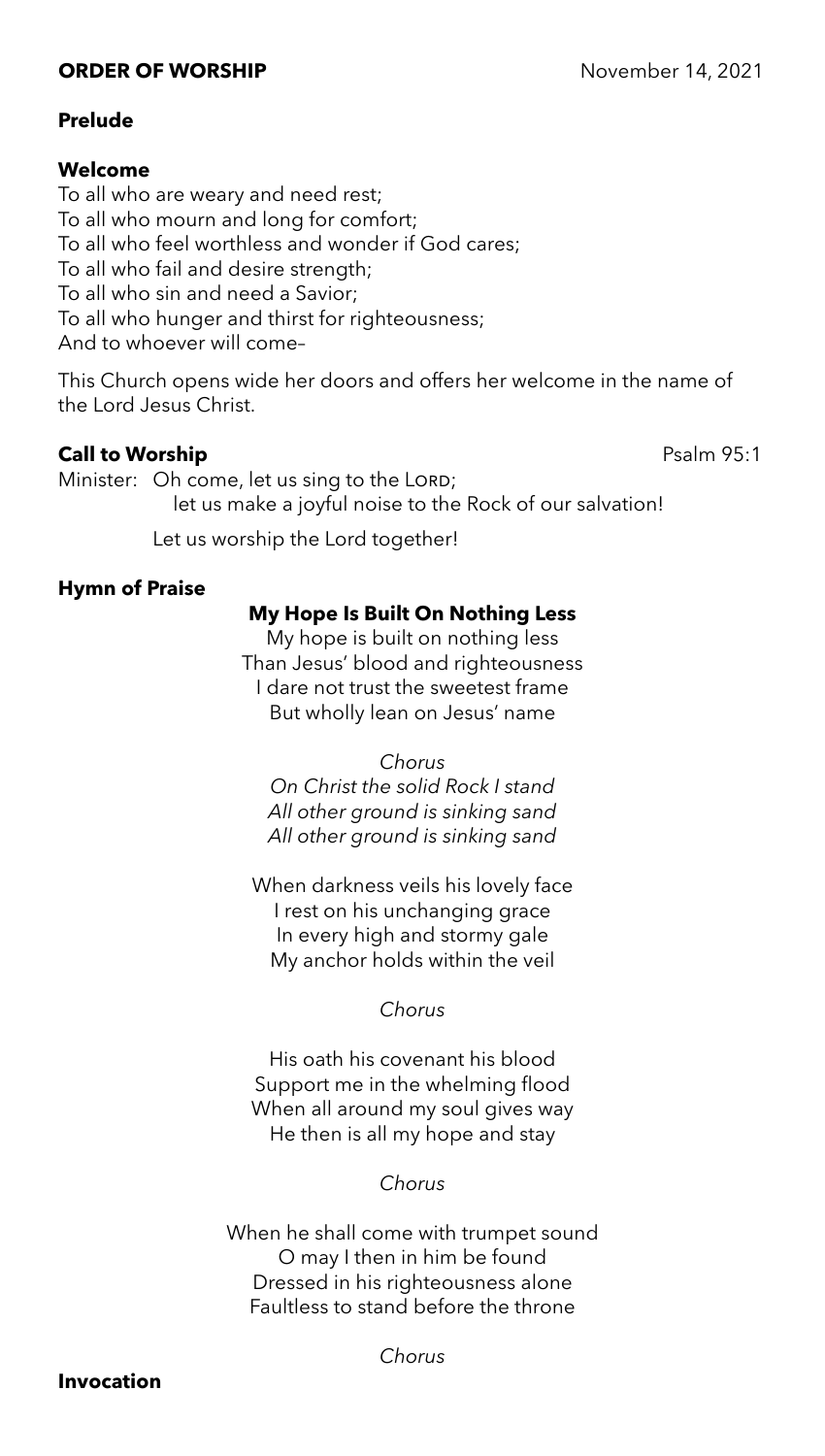# **ORDER OF WORSHIP** November 14, 2021

# **Prelude**

## **Welcome**

To all who are weary and need rest; To all who mourn and long for comfort; To all who feel worthless and wonder if God cares; To all who fail and desire strength; To all who sin and need a Savior; To all who hunger and thirst for righteousness; And to whoever will come–

This Church opens wide her doors and offers her welcome in the name of the Lord Jesus Christ.

# **Call to Worship** Psalm 95:1

Minister: Oh come, let us sing to the LORD; let us make a joyful noise to the Rock of our salvation!

Let us worship the Lord together!

# **Hymn of Praise**

# **My Hope Is Built On Nothing Less**

My hope is built on nothing less Than Jesus' blood and righteousness I dare not trust the sweetest frame But wholly lean on Jesus' name

#### *Chorus*

*On Christ the solid Rock I stand All other ground is sinking sand All other ground is sinking sand*

When darkness veils his lovely face I rest on his unchanging grace In every high and stormy gale My anchor holds within the veil

# *Chorus*

His oath his covenant his blood Support me in the whelming flood When all around my soul gives way He then is all my hope and stay

# *Chorus*

When he shall come with trumpet sound O may I then in him be found Dressed in his righteousness alone Faultless to stand before the throne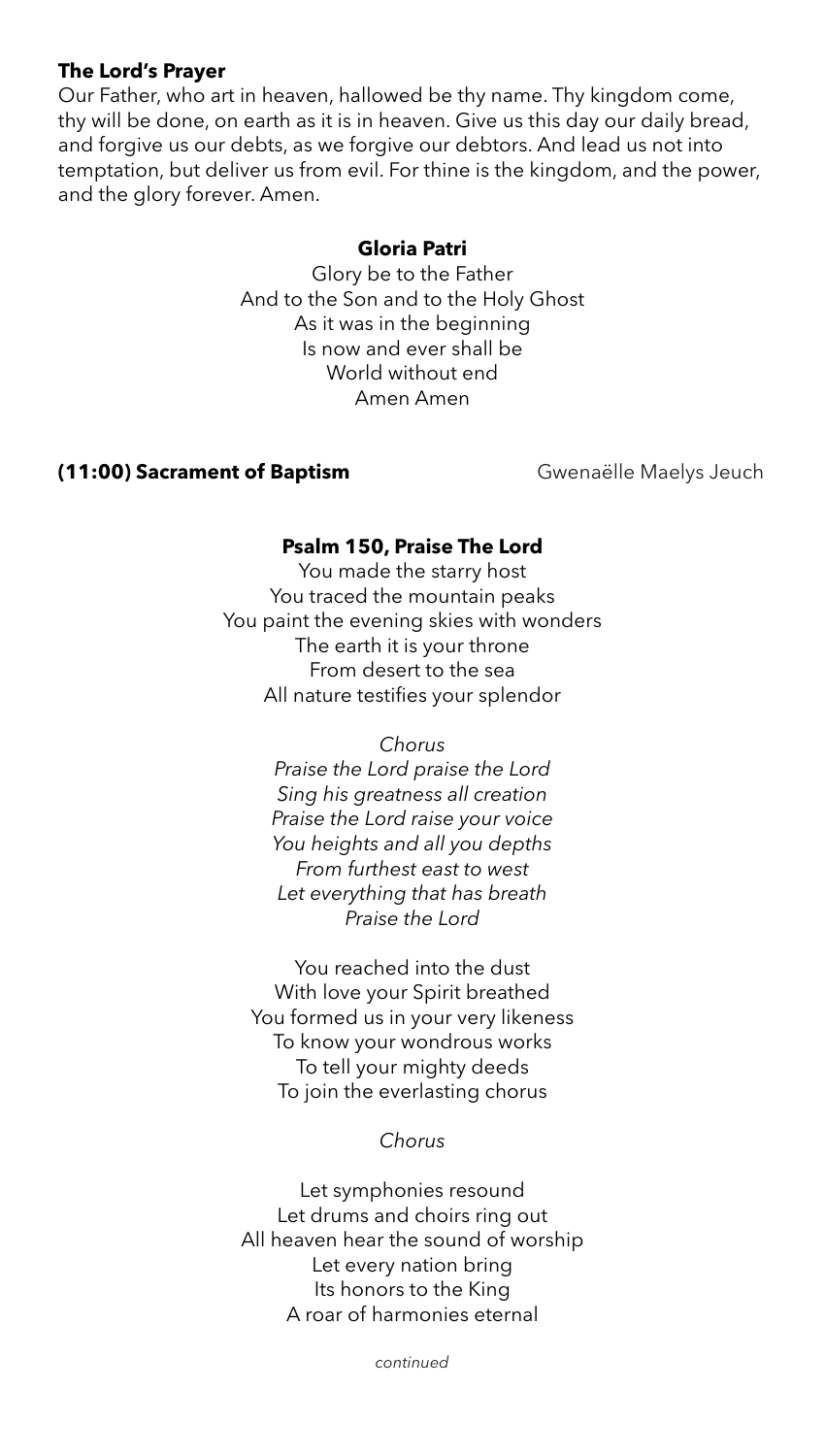# **The Lord's Prayer**

Our Father, who art in heaven, hallowed be thy name. Thy kingdom come, thy will be done, on earth as it is in heaven. Give us this day our daily bread, and forgive us our debts, as we forgive our debtors. And lead us not into temptation, but deliver us from evil. For thine is the kingdom, and the power, and the glory forever. Amen.

#### **Gloria Patri**

Glory be to the Father And to the Son and to the Holy Ghost As it was in the beginning Is now and ever shall be World without end Amen Amen

# **(11:00) Sacrament of Baptism Gwenaëlle Maelys Jeuch**

# **Psalm 150, Praise The Lord**

You made the starry host You traced the mountain peaks You paint the evening skies with wonders The earth it is your throne From desert to the sea All nature testifies your splendor

> *Chorus Praise the Lord praise the Lord Sing his greatness all creation Praise the Lord raise your voice You heights and all you depths From furthest east to west Let everything that has breath Praise the Lord*

You reached into the dust With love your Spirit breathed You formed us in your very likeness To know your wondrous works To tell your mighty deeds To join the everlasting chorus

*Chorus*

Let symphonies resound Let drums and choirs ring out All heaven hear the sound of worship Let every nation bring Its honors to the King A roar of harmonies eternal

*continued*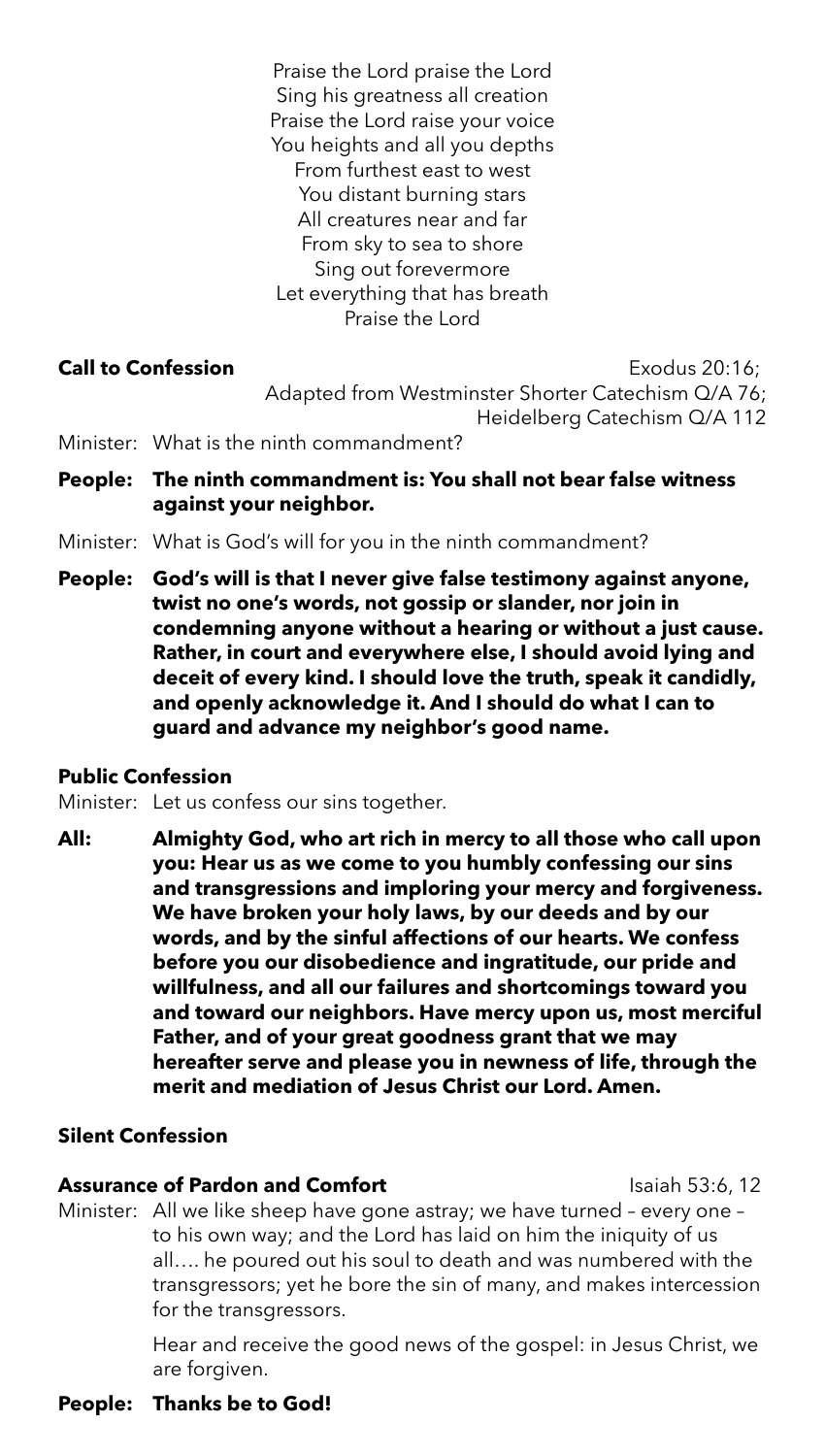Praise the Lord praise the Lord Sing his greatness all creation Praise the Lord raise your voice You heights and all you depths From furthest east to west You distant burning stars All creatures near and far From sky to sea to shore Sing out forevermore Let everything that has breath Praise the Lord

**Call to Confession Call to Confession** Adapted from Westminster Shorter Catechism Q/A 76; Heidelberg Catechism Q/A 112

- Minister: What is the ninth commandment?
- **People: The ninth commandment is: You shall not bear false witness against your neighbor.**
- Minister: What is God's will for you in the ninth commandment?
- **People: God's will is that I never give false testimony against anyone, twist no one's words, not gossip or slander, nor join in condemning anyone without a hearing or without a just cause. Rather, in court and everywhere else, I should avoid lying and deceit of every kind. I should love the truth, speak it candidly, and openly acknowledge it. And I should do what I can to guard and advance my neighbor's good name.**

# **Public Confession**

Minister: Let us confess our sins together.

**All: Almighty God, who art rich in mercy to all those who call upon you: Hear us as we come to you humbly confessing our sins and transgressions and imploring your mercy and forgiveness. We have broken your holy laws, by our deeds and by our words, and by the sinful affections of our hearts. We confess before you our disobedience and ingratitude, our pride and willfulness, and all our failures and shortcomings toward you and toward our neighbors. Have mercy upon us, most merciful Father, and of your great goodness grant that we may hereafter serve and please you in newness of life, through the merit and mediation of Jesus Christ our Lord. Amen.**

# **Silent Confession**

# **Assurance of Pardon and Comfort Isaiah 53:6, 12**

Minister: All we like sheep have gone astray; we have turned – every one – to his own way; and the Lord has laid on him the iniquity of us all…. he poured out his soul to death and was numbered with the transgressors; yet he bore the sin of many, and makes intercession for the transgressors.

> Hear and receive the good news of the gospel: in Jesus Christ, we are forgiven.

# **People: Thanks be to God!**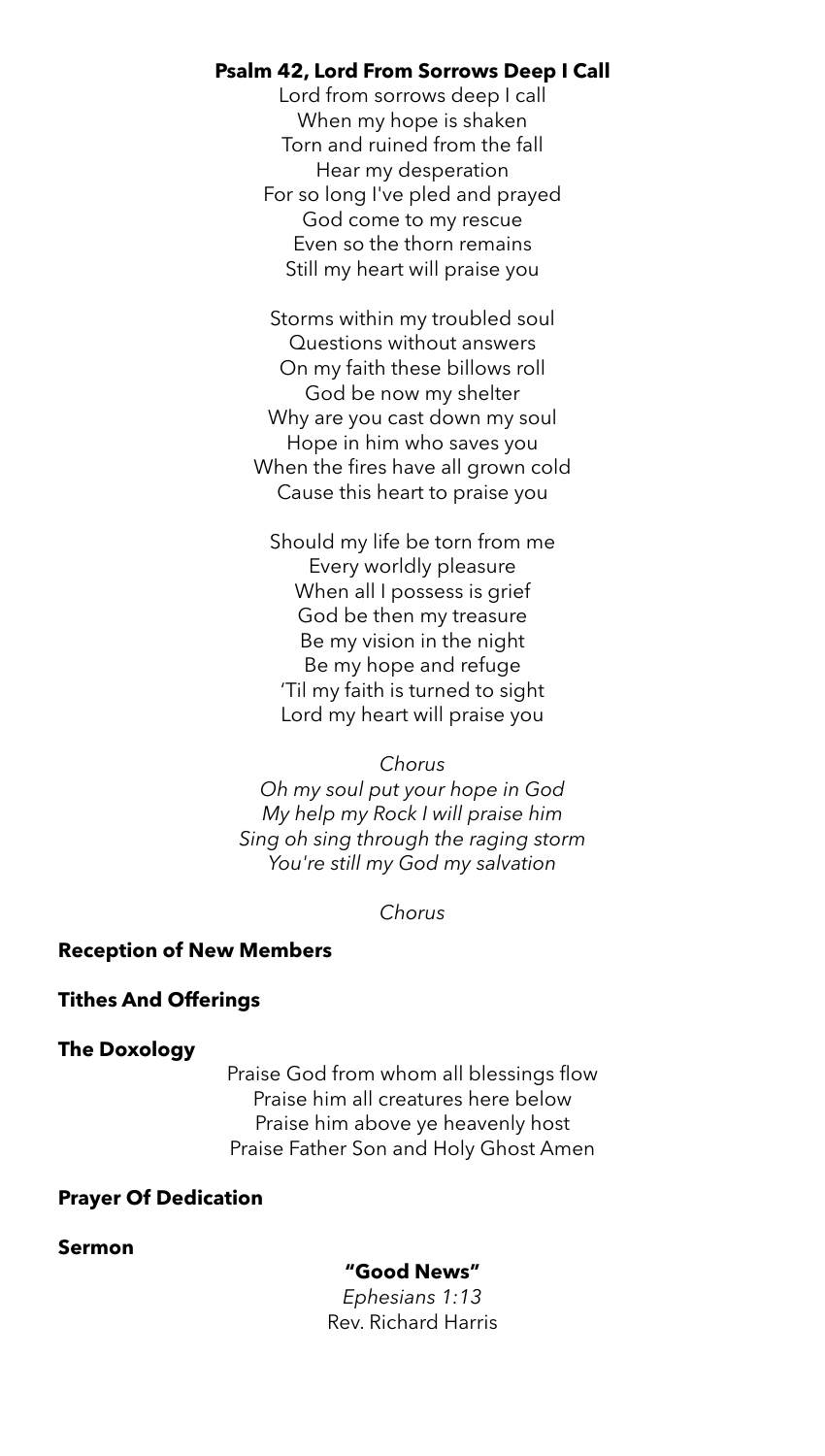# **Psalm 42, Lord From Sorrows Deep I Call**

Lord from sorrows deep I call When my hope is shaken Torn and ruined from the fall Hear my desperation For so long I've pled and prayed God come to my rescue Even so the thorn remains Still my heart will praise you

Storms within my troubled soul Questions without answers On my faith these billows roll God be now my shelter Why are you cast down my soul Hope in him who saves you When the fires have all grown cold Cause this heart to praise you

Should my life be torn from me Every worldly pleasure When all I possess is grief God be then my treasure Be my vision in the night Be my hope and refuge 'Til my faith is turned to sight Lord my heart will praise you

#### *Chorus*

*Oh my soul put your hope in God My help my Rock I will praise him Sing oh sing through the raging storm You're still my God my salvation*

*Chorus*

#### **Reception of New Members**

#### **Tithes And Offerings**

#### **The Doxology**

Praise God from whom all blessings flow Praise him all creatures here below Praise him above ye heavenly host Praise Father Son and Holy Ghost Amen

#### **Prayer Of Dedication**

**Sermon** 

#### **"Good News"**

*Ephesians 1:13* Rev. Richard Harris